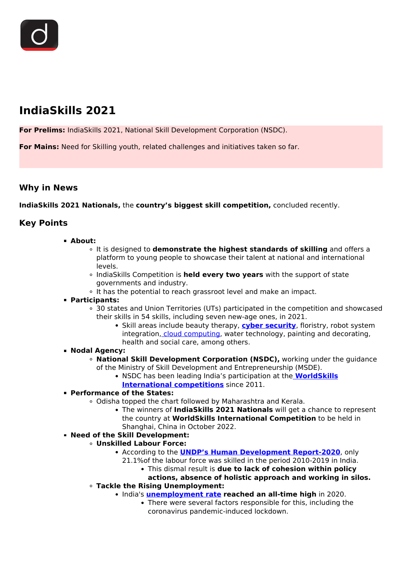

# **IndiaSkills 2021**

**For Prelims:** IndiaSkills 2021, National Skill Development Corporation (NSDC).

**For Mains:** Need for Skilling youth, related challenges and initiatives taken so far.

## **Why in News**

**IndiaSkills 2021 Nationals,** the **country's biggest skill competition,** concluded recently.

# **Key Points**

### **About:**

- It is designed to **demonstrate the highest standards of skilling** and offers a platform to young people to showcase their talent at national and international levels.
- IndiaSkills Competition is **held every two years** with the support of state governments and industry.
- o It has the potential to reach grassroot level and make an impact.
- **Participants:**
	- 30 states and Union Territories (UTs) participated in the competition and showcased their skills in 54 skills, including seven new-age ones, in 2021.
		- Skill areas include beauty therapy, **[cyber security](/to-the-points/paper3/cyber-security)**, floristry, robot system integration[, cloud computing,](/daily-updates/daily-news-analysis/edge-computing) water technology, painting and decorating, health and social care, among others.

### **Nodal Agency:**

- **National Skill Development Corporation (NSDC),** working under the guidance of the Ministry of Skill Development and Entrepreneurship (MSDE).
	- NSDC has been leading India's participation at the **[WorldSkills](/daily-updates/daily-news-analysis/worldskills-international-competition-2019) [International competitions](/daily-updates/daily-news-analysis/worldskills-international-competition-2019)** since 2011.

### **Performance of the States:**

- Odisha topped the chart followed by Maharashtra and Kerala.
	- The winners of **IndiaSkills 2021 Nationals** will get a chance to represent the country at **WorldSkills International Competition** to be held in Shanghai, China in October 2022.

# **Need of the Skill Development:**

### **Unskilled Labour Force:**

- According to the **[UNDP's Human Development Report-2020](/daily-updates/daily-news-analysis/human-development-index-undp)**, only
	- 21.1%of the labour force was skilled in the period 2010-2019 in India.
		- This dismal result is **due to lack of cohesion within policy**

#### **actions, absence of holistic approach and working in silos. Tackle the Rising Unemployment:**

- India's **[unemployment rate](/daily-updates/daily-news-analysis/unemployment-in-india-1) reached an all-time high** in 2020.
	- There were several factors responsible for this, including the coronavirus pandemic-induced lockdown.